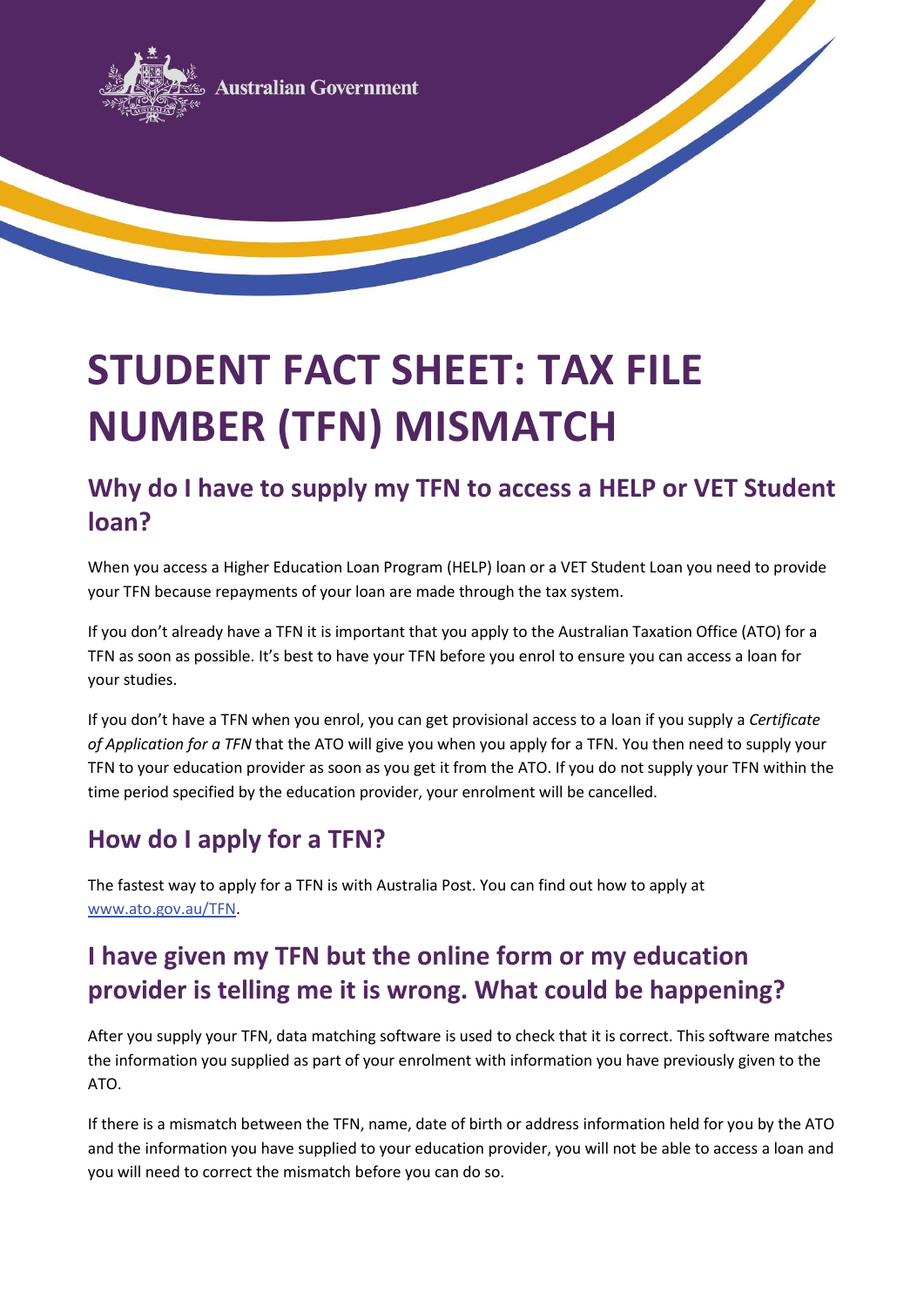

# **STUDENT FACT SHEET: TAX FILE NUMBER (TFN) MISMATCH**

#### **Why do I have to supply my TFN to access a HELP or VET Student loan?**

When you access a Higher Education Loan Program (HELP) loan or a VET Student Loan you need to provide your TFN because repayments of your loan are made through the tax system.

If you don't already have a TFN it is important that you apply to the Australian Taxation Office (ATO) for a TFN as soon as possible. It's best to have your TFN before you enrol to ensure you can access a loan for your studies.

If you don't have a TFN when you enrol, you can get provisional access to a loan if you supply a *Certificate of Application for a TFN* that the ATO will give you when you apply for a TFN. You then need to supply your TFN to your education provider as soon as you get it from the ATO. If you do not supply your TFN within the time period specified by the education provider, your enrolment will be cancelled.

## **How do I apply for a TFN?**

The fastest way to apply for a TFN is with Australia Post. You can find out how to apply at [www.ato.gov.au/TFN.](http://www.ato.gov.au/TFN)

# **I have given my TFN but the online form or my education provider is telling me it is wrong. What could be happening?**

After you supply your TFN, data matching software is used to check that it is correct. This software matches the information you supplied as part of your enrolment with information you have previously given to the ATO.

If there is a mismatch between the TFN, name, date of birth or address information held for you by the ATO and the information you have supplied to your education provider, you will not be able to access a loan and you will need to correct the mismatch before you can do so.